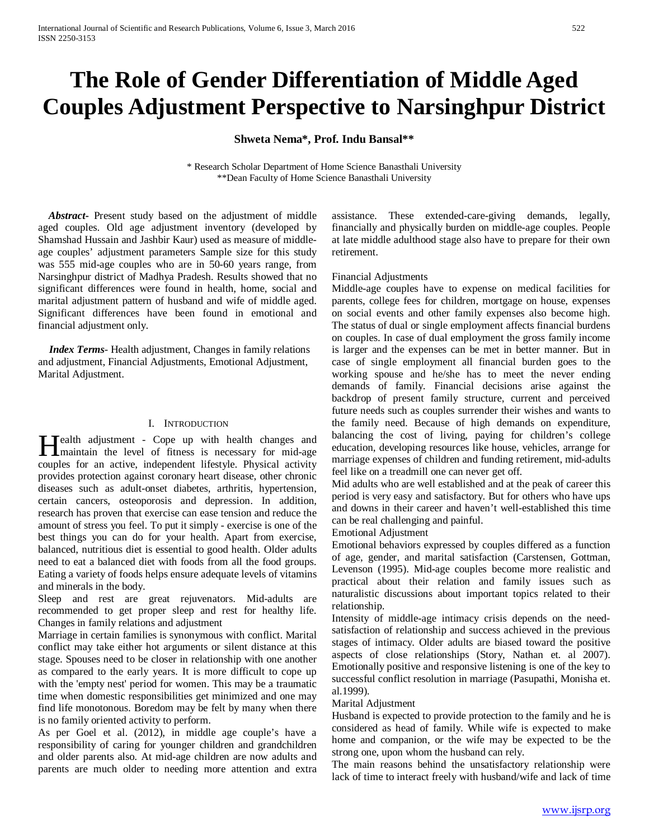# **The Role of Gender Differentiation of Middle Aged Couples Adjustment Perspective to Narsinghpur District**

## **Shweta Nema\*, Prof. Indu Bansal\*\***

\* Research Scholar Department of Home Science Banasthali University \*\*Dean Faculty of Home Science Banasthali University

 *Abstract***-** Present study based on the adjustment of middle aged couples. Old age adjustment inventory (developed by Shamshad Hussain and Jashbir Kaur) used as measure of middleage couples' adjustment parameters Sample size for this study was 555 mid-age couples who are in 50-60 years range, from Narsinghpur district of Madhya Pradesh. Results showed that no significant differences were found in health, home, social and marital adjustment pattern of husband and wife of middle aged. Significant differences have been found in emotional and financial adjustment only.

 *Index Terms*- Health adjustment, Changes in family relations and adjustment, Financial Adjustments, Emotional Adjustment, Marital Adjustment.

## I. INTRODUCTION

**Tealth adjustment - Cope up with health changes and Mealth** adjustment - Cope up with health changes and maintain the level of fitness is necessary for mid-age couples for an active, independent lifestyle. Physical activity provides protection against coronary heart disease, other chronic diseases such as adult-onset diabetes, arthritis, hypertension, certain cancers, osteoporosis and depression. In addition, research has proven that exercise can ease tension and reduce the amount of stress you feel. To put it simply - exercise is one of the best things you can do for your health. Apart from exercise, balanced, nutritious diet is essential to good health. Older adults need to eat a balanced diet with foods from all the food groups. Eating a variety of foods helps ensure adequate levels of vitamins and minerals in the body.

Sleep and rest are great rejuvenators. Mid-adults are recommended to get proper sleep and rest for healthy life. Changes in family relations and adjustment

Marriage in certain families is synonymous with conflict. Marital conflict may take either hot arguments or silent distance at this stage. Spouses need to be closer in relationship with one another as compared to the early years. It is more difficult to cope up with the 'empty nest' period for women. This may be a traumatic time when domestic responsibilities get minimized and one may find life monotonous. Boredom may be felt by many when there is no family oriented activity to perform.

As per Goel et al. (2012), in middle age couple's have a responsibility of caring for younger children and grandchildren and older parents also. At mid-age children are now adults and parents are much older to needing more attention and extra assistance. These extended-care-giving demands, legally, financially and physically burden on middle-age couples. People at late middle adulthood stage also have to prepare for their own retirement.

## Financial Adjustments

Middle-age couples have to expense on medical facilities for parents, college fees for children, mortgage on house, expenses on social events and other family expenses also become high. The status of dual or single employment affects financial burdens on couples. In case of dual employment the gross family income is larger and the expenses can be met in better manner. But in case of single employment all financial burden goes to the working spouse and he/she has to meet the never ending demands of family. Financial decisions arise against the backdrop of present family structure, current and perceived future needs such as couples surrender their wishes and wants to the family need. Because of high demands on expenditure, balancing the cost of living, paying for children's college education, developing resources like house, vehicles, arrange for marriage expenses of children and funding retirement, mid-adults feel like on a treadmill one can never get off.

Mid adults who are well established and at the peak of career this period is very easy and satisfactory. But for others who have ups and downs in their career and haven't well-established this time can be real challenging and painful.

Emotional Adjustment

Emotional behaviors expressed by couples differed as a function of age, gender, and marital satisfaction (Carstensen, Gottman, Levenson (1995). Mid-age couples become more realistic and practical about their relation and family issues such as naturalistic discussions about important topics related to their relationship.

Intensity of middle-age intimacy crisis depends on the needsatisfaction of relationship and success achieved in the previous stages of intimacy. Older adults are biased toward the positive aspects of close relationships (Story, Nathan et. al 2007). Emotionally positive and responsive listening is one of the key to successful conflict resolution in marriage (Pasupathi, Monisha et. al.1999).

#### Marital Adjustment

Husband is expected to provide protection to the family and he is considered as head of family. While wife is expected to make home and companion, or the wife may be expected to be the strong one, upon whom the husband can rely.

The main reasons behind the unsatisfactory relationship were lack of time to interact freely with husband/wife and lack of time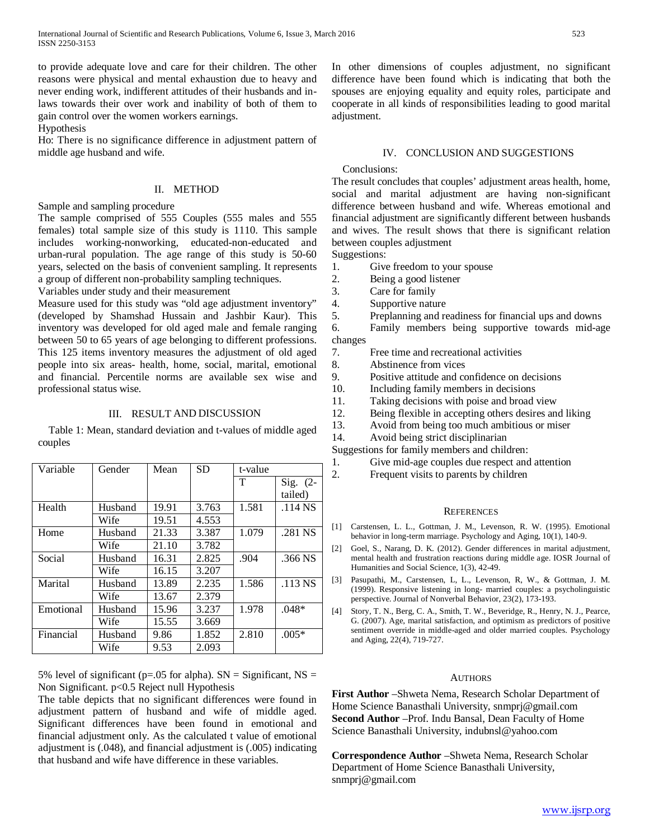to provide adequate love and care for their children. The other reasons were physical and mental exhaustion due to heavy and never ending work, indifferent attitudes of their husbands and inlaws towards their over work and inability of both of them to gain control over the women workers earnings.

Hypothesis

Ho: There is no significance difference in adjustment pattern of middle age husband and wife.

## II. METHOD

Sample and sampling procedure

The sample comprised of 555 Couples (555 males and 555 females) total sample size of this study is 1110. This sample includes working-nonworking, educated-non-educated and urban-rural population. The age range of this study is 50-60 years, selected on the basis of convenient sampling. It represents a group of different non-probability sampling techniques.

Variables under study and their measurement

Measure used for this study was "old age adjustment inventory" (developed by Shamshad Hussain and Jashbir Kaur). This inventory was developed for old aged male and female ranging between 50 to 65 years of age belonging to different professions. This 125 items inventory measures the adjustment of old aged people into six areas- health, home, social, marital, emotional and financial. Percentile norms are available sex wise and professional status wise.

## III. RESULT AND DISCUSSION

 Table 1: Mean, standard deviation and t-values of middle aged couples

| Variable  | Gender  | Mean  | <b>SD</b> | t-value |            |
|-----------|---------|-------|-----------|---------|------------|
|           |         |       |           | T       | $Sig. (2-$ |
|           |         |       |           |         | tailed)    |
| Health    | Husband | 19.91 | 3.763     | 1.581   | $.114$ NS  |
|           | Wife    | 19.51 | 4.553     |         |            |
| Home      | Husband | 21.33 | 3.387     | 1.079   | .281 NS    |
|           | Wife    | 21.10 | 3.782     |         |            |
| Social    | Husband | 16.31 | 2.825     | .904    | .366 NS    |
|           | Wife    | 16.15 | 3.207     |         |            |
| Marital   | Husband | 13.89 | 2.235     | 1.586   | $.113$ NS  |
|           | Wife    | 13.67 | 2.379     |         |            |
| Emotional | Husband | 15.96 | 3.237     | 1.978   | $.048*$    |
|           | Wife    | 15.55 | 3.669     |         |            |
| Financial | Husband | 9.86  | 1.852     | 2.810   | $.005*$    |
|           | Wife    | 9.53  | 2.093     |         |            |

5% level of significant ( $p=.05$  for alpha). SN = Significant, NS = Non Significant. p<0.5 Reject null Hypothesis

The table depicts that no significant differences were found in adjustment pattern of husband and wife of middle aged. Significant differences have been found in emotional and financial adjustment only. As the calculated t value of emotional adjustment is (.048), and financial adjustment is (.005) indicating that husband and wife have difference in these variables.

In other dimensions of couples adjustment, no significant difference have been found which is indicating that both the spouses are enjoying equality and equity roles, participate and cooperate in all kinds of responsibilities leading to good marital adjustment.

## IV. CONCLUSION AND SUGGESTIONS

## Conclusions:

The result concludes that couples' adjustment areas health, home, social and marital adjustment are having non-significant difference between husband and wife. Whereas emotional and financial adjustment are significantly different between husbands and wives. The result shows that there is significant relation between couples adjustment

Suggestions:

- 1. Give freedom to your spouse
- 2. Being a good listener
- 3. Care for family
- 4. Supportive nature<br>5. Preplanning and re
- Preplanning and readiness for financial ups and downs
- 6. Family members being supportive towards mid-age changes
	- 7. Free time and recreational activities
	- 8. Abstinence from vices
	- 9. Positive attitude and confidence on decisions
	- 10. Including family members in decisions
	- 11. Taking decisions with poise and broad view
	- 12. Being flexible in accepting others desires and liking
	- 13. Avoid from being too much ambitious or miser

14. Avoid being strict disciplinarian

Suggestions for family members and children:

- 1. Give mid-age couples due respect and attention
- 2. Frequent visits to parents by children

## **REFERENCES**

- [1] Carstensen, L. L., Gottman, J. M., Levenson, R. W. (1995). Emotional behavior in long-term marriage. Psychology and Aging, 10(1), 140-9.
- [2] Goel, S., Narang, D. K. (2012). Gender differences in marital adjustment, mental health and frustration reactions during middle age. IOSR Journal of Humanities and Social Science, 1(3), 42-49.
- [3] Pasupathi, M., Carstensen, L, L., Levenson, R, W., & Gottman, J. M. (1999). Responsive listening in long- married couples: a psycholinguistic perspective. Journal of Nonverbal Behavior, 23(2), 173-193.
- [4] Story, T. N., Berg, C. A., Smith, T. W., Beveridge, R., Henry, N. J., Pearce, G. (2007). Age, marital satisfaction, and optimism as predictors of positive sentiment override in middle-aged and older married couples. Psychology and Aging, 22(4), 719-727.

#### AUTHORS

**First Author** –Shweta Nema, Research Scholar Department of Home Science Banasthali University, snmprj@gmail.com **Second Author** –Prof. Indu Bansal, Dean Faculty of Home Science Banasthali University, indubnsl@yahoo.com

**Correspondence Author** –Shweta Nema, Research Scholar Department of Home Science Banasthali University, snmprj@gmail.com